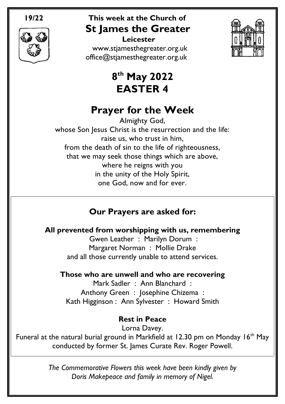

 **Leicester** [www.stjamesthegreater.org.uk](http://www.stjamesthegreater.org.uk/) [office@stjamesthegreater.org.uk](mailto:office@stjamesthegreater.org.uk)



# **8 th May 2022 EASTER 4**

# **Prayer for the Week**

Almighty God, whose Son Jesus Christ is the resurrection and the life: raise us, who trust in him, from the death of sin to the life of righteousness, that we may seek those things which are above, where he reigns with you in the unity of the Holy Spirit, one God, now and for ever.

# **Our Prayers are asked for:**

# **All prevented from worshipping with us, remembering**

Gwen Leather : Marilyn Dorum : Margaret Norman : Mollie Drake and all those currently unable to attend services.

#### **Those who are unwell and who are recovering**

Mark Sadler : Ann Blanchard : Anthony Green : Josephine Chizema : Kath Higginson : Ann Sylvester : Howard Smith

# **Rest in Peace**

Lorna Davey.

Funeral at the natural burial ground in Markfield at 12.30 pm on Monday 16<sup>th</sup> May conducted by former St. James Curate Rev. Roger Powell.

> *The Commemorative Flowers this week have been kindly given by Doris Makepeace and family in memory of Nigel.*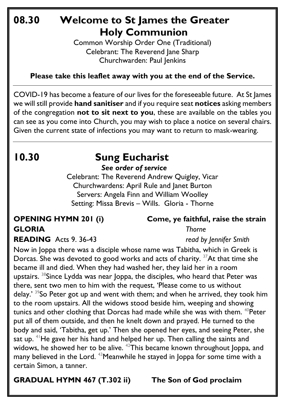# **08.30 Welcome to St James the Greater Holy Communion**

Common Worship Order One (Traditional) Celebrant: The Reverend Jane Sharp Churchwarden: Paul Jenkins

#### **Please take this leaflet away with you at the end of the Service.**

COVID-19 has become a feature of our lives for the foreseeable future. At St James we will still provide **hand sanitiser** and if you require seat **notices** asking members of the congregation **not to sit next to you**, these are available on the tables you can see as you come into Church, you may wish to place a notice on several chairs. Given the current state of infections you may want to return to mask-wearing.

# **10.30 Sung Eucharist** *See order of service*

Celebrant: The Reverend Andrew Quigley, Vicar Churchwardens: April Rule and Janet Burton Servers: Angela Finn and William Woolley Setting: Missa Brevis – Wills. Gloria - Thorne

# **GLORIA** *Thorne*

# **OPENING HYMN 201 (i) Come, ye faithful, raise the strain**

Now in Joppa there was a disciple whose name was Tabitha, which in Greek is Dorcas. She was devoted to good works and acts of charity.  $37$ At that time she became ill and died. When they had washed her, they laid her in a room upstairs. <sup>38</sup>Since Lydda was near Joppa, the disciples, who heard that Peter was there, sent two men to him with the request, 'Please come to us without delay.' <sup>39</sup>So Peter got up and went with them; and when he arrived, they took him to the room upstairs. All the widows stood beside him, weeping and showing tunics and other clothing that Dorcas had made while she was with them. <sup>40</sup>Peter put all of them outside, and then he knelt down and prayed. He turned to the body and said, 'Tabitha, get up.' Then she opened her eyes, and seeing Peter, she sat up.  $41$  He gave her his hand and helped her up. Then calling the saints and widows, he showed her to be alive. <sup>42</sup>This became known throughout Joppa, and many believed in the Lord. <sup>43</sup>Meanwhile he stayed in Joppa for some time with a certain Simon, a tanner.

**GRADUAL HYMN 467 (T.302 ii) The Son of God proclaim**

# **READING** Acts 9. 36-43 *read by Jennifer Smith*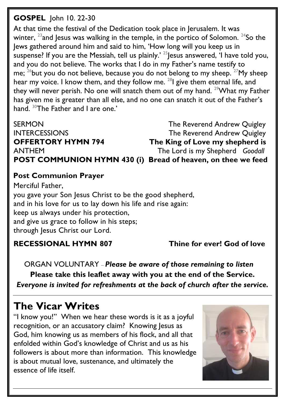#### **GOSPEL** John 10. 22-30

At that time the festival of the Dedication took place in Jerusalem. It was winter,  $^{23}$  and Jesus was walking in the temple, in the portico of Solomon.  $^{24}$ So the Jews gathered around him and said to him, 'How long will you keep us in suspense? If you are the Messiah, tell us plainly.<sup>' 25</sup> Jesus answered, 'I have told you, and you do not believe. The works that I do in my Father's name testify to me;  $^{26}$ but you do not believe, because you do not belong to my sheep.  $^{27}$ My sheep hear my voice. I know them, and they follow me. <sup>28</sup>l give them eternal life, and they will never perish. No one will snatch them out of my hand.  $29$ What my Father has given me is greater than all else, and no one can snatch it out of the Father's hand. <sup>30</sup>The Father and I are one.'

ANTHEM The Lord is my Shepherd *Goodall*

SERMON GERMON CONSERTING The Reverend Andrew Quigley INTERCESSIONS The Reverend Andrew Quigley **OFFERTORY HYMN 794 The King of Love my shepherd is POST COMMUNION HYMN 430 (i) Bread of heaven, on thee we feed**

#### **Post Communion Prayer**

Merciful Father, you gave your Son Jesus Christ to be the good shepherd, and in his love for us to lay down his life and rise again: keep us always under his protection, and give us grace to follow in his steps; through Jesus Christ our Lord.

#### **RECESSIONAL HYMN 807 Thine for ever! God of love**

 ORGAN VOLUNTARY – *Please be aware of those remaining to listen* **Please take this leaflet away with you at the end of the Service.**  *Everyone is invited for refreshments at the back of church after the service.*

# **The Vicar Writes**

"I know you!" When we hear these words is it as a joyful recognition, or an accusatory claim? Knowing Jesus as God, him knowing us as members of his flock, and all that enfolded within God's knowledge of Christ and us as his followers is about more than information. This knowledge is about mutual love, sustenance, and ultimately the essence of life itself.

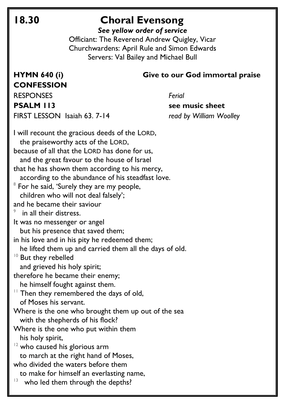# **18.30 Choral Evensong**

*See yellow order of service*

Officiant: The Reverend Andrew Quigley, Vicar Churchwardens: April Rule and Simon Edwards Servers: Val Bailey and Michael Bull

#### **HYMN 640 (i) Give to our God immortal praise**

**CONFESSION**  RESPONSES *Ferial* **PSALM 113** see music sheet FIRST LESSON Isaiah 63. 7-14 *read by William Woolley*

I will recount the gracious deeds of the LORD, the praiseworthy acts of the LORD, because of all that the LORD has done for us, and the great favour to the house of Israel that he has shown them according to his mercy, according to the abundance of his steadfast love.  $^8$  For he said, 'Surely they are my people, children who will not deal falsely'; and he became their saviour 9 in all their distress. It was no messenger or angel but his presence that saved them; in his love and in his pity he redeemed them; he lifted them up and carried them all the days of old. <sup>10</sup> But they rebelled and grieved his holy spirit; therefore he became their enemy; he himself fought against them.  $11$  Then they remembered the days of old, of Moses his servant. Where is the one who brought them up out of the sea with the shepherds of his flock? Where is the one who put within them his holy spirit,  $12$  who caused his glorious arm to march at the right hand of Moses, who divided the waters before them to make for himself an everlasting name, 13 who led them through the depths?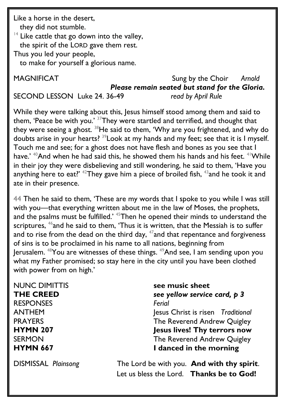Like a horse in the desert, they did not stumble.  $14$  Like cattle that go down into the valley, the spirit of the LORD gave them rest. Thus you led your people, to make for yourself a glorious name.

# MAGNIFICATSung by the Choir *Arnold Please remain seated but stand for the Gloria.*

SECOND LESSON Luke 24. 36-49 *read by April Rule*

While they were talking about this, Jesus himself stood among them and said to them, 'Peace be with you.'  $37$ They were startled and terrified, and thought that they were seeing a ghost.  $38$ He said to them, 'Why are you frightened, and why do doubts arise in your hearts? <sup>39</sup>Look at my hands and my feet; see that it is I myself. Touch me and see; for a ghost does not have flesh and bones as you see that I have.'  $40$ And when he had said this, he showed them his hands and his feet.  $41$ While in their joy they were disbelieving and still wondering, he said to them, 'Have you anything here to eat?'  $42$ They gave him a piece of broiled fish,  $43$  and he took it and ate in their presence.

44 Then he said to them, 'These are my words that I spoke to you while I was still with you—that everything written about me in the law of Moses, the prophets, and the psalms must be fulfilled.<sup>' 45</sup>Then he opened their minds to understand the scriptures,  $46$  and he said to them, 'Thus it is written, that the Messiah is to suffer and to rise from the dead on the third day,  $47$  and that repentance and forgiveness of sins is to be proclaimed in his name to all nations, beginning from Jerusalem. <sup>48</sup>You are witnesses of these things. <sup>49</sup>And see, I am sending upon you what my Father promised; so stay here in the city until you have been clothed with power from on high.'

NUNC DIMITTIS **see music sheet**  RESPONSES *Ferial*

**THE CREED** *see yellow service card, p 3* ANTHEM Jesus Christ is risen *Traditional*

PRAYERS The Reverend Andrew Quigley **HYMN 207 Jesus lives! Thy terrors now** SERMON **SERMON** SERMON The Reverend Andrew Ouigley **HYMN 667 I** danced in the morning

DISMISSAL *Plainsong* The Lord be with you. **And with thy spirit**. Let us bless the Lord. **Thanks be to God!**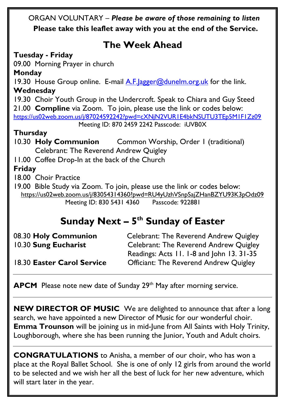ORGAN VOLUNTARY – *Please be aware of those remaining to listen*  **Please take this leaflet away with you at the end of the Service.** 

# **The Week Ahead**

#### **Tuesday - Friday**

09.00 Morning Prayer in church

#### **Monday**

19.30 House Group online. E-mail A.F. agger@dunelm.org.uk for the link. **Wednesday**

19.30 Choir Youth Group in the Undercroft. Speak to Chiara and Guy Steed 21.00 **Compline** via Zoom. To join, please use the link or codes below: <https://us02web.zoom.us/j/87024592242?pwd=cXNjN2VUR1E4bkNSUTU3TEp5M1F1Zz09>

Meeting ID: 870 2459 2242 Passcode: iUVB0X

### **Thursday**

10.30 **Holy Communion** Common Worship, Order 1 (traditional) Celebrant: The Reverend Andrew Quigley 11.00 Coffee Drop-In at the back of the Church **Friday** 

18.00 Choir Practice

19.00 Bible Study via Zoom. To join, please use the link or codes below: <https://us02web.zoom.us/j/83054314360?pwd=RU4yUzhVSnpSajZHanBZYU93K3pOdz09> Meeting ID: 830 5431 4360 Passcode: 922881

# **Sunday Next – 5 th Sunday of Easter**

| 08.30 Holy Communion       | <b>Celebrant: The Reverend Andrew Quigley</b> |
|----------------------------|-----------------------------------------------|
| 10.30 Sung Eucharist       | <b>Celebrant: The Reverend Andrew Quigley</b> |
|                            | Readings: Acts 11. 1-8 and John 13. 31-35     |
| 18.30 Easter Carol Service | <b>Officiant: The Reverend Andrew Quigley</b> |

APCM Please note new date of Sunday 29<sup>th</sup> May after morning service.

**NEW DIRECTOR OF MUSIC** We are delighted to announce that after a long search, we have appointed a new Director of Music for our wonderful choir. **Emma Trounson** will be joining us in mid-June from All Saints with Holy Trinity, Loughborough, where she has been running the Junior, Youth and Adult choirs.

**CONGRATULATIONS** to Anisha, a member of our choir, who has won a place at the Royal Ballet School. She is one of only 12 girls from around the world to be selected and we wish her all the best of luck for her new adventure, which will start later in the year.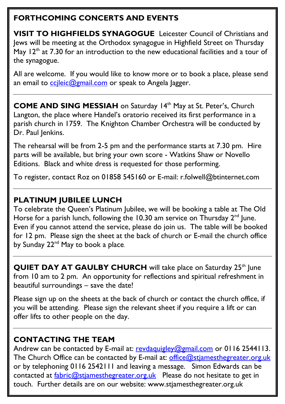# **FORTHCOMING CONCERTS AND EVENTS**

**VISIT TO HIGHFIELDS SYNAGOGUE** Leicester Council of Christians and Jews will be meeting at the Orthodox synagogue in Highfield Street on Thursday May  $12<sup>th</sup>$  at 7.30 for an introduction to the new educational facilities and a tour of the synagogue.

All are welcome. If you would like to know more or to book a place, please send an email to [ccjleic@gmail.com](mailto:ccjleic@gmail.com) or speak to Angela Jagger.

**COME AND SING MESSIAH** on Saturday 14<sup>th</sup> May at St. Peter's, Church Langton, the place where Handel's oratorio received its first performance in a parish church in 1759. The Knighton Chamber Orchestra will be conducted by Dr. Paul Jenkins.

The rehearsal will be from 2-5 pm and the performance starts at 7.30 pm. Hire parts will be available, but bring your own score - Watkins Shaw or Novello Editions. Black and white dress is requested for those performing.

To register, contact Roz on 01858 545160 or E-mail: r.folwell@btinternet.com

# **PLATINUM JUBILEE LUNCH**

To celebrate the Queen's Platinum Jubilee, we will be booking a table at The Old Horse for a parish lunch, following the 10.30 am service on Thursday  $2^{nd}$  lune. Even if you cannot attend the service, please do join us. The table will be booked for 12 pm. Please sign the sheet at the back of church or E-mail the church office by Sunday 22<sup>nd</sup> May to book a place.

**QUIET DAY AT GAULBY CHURCH** will take place on Saturday 25<sup>th</sup> June from 10 am to 2 pm. An opportunity for reflections and spiritual refreshment in beautiful surroundings – save the date!

Please sign up on the sheets at the back of church or contact the church office, if you will be attending. Please sign the relevant sheet if you require a lift or can offer lifts to other people on the day.

# **CONTACTING THE TEAM**

Andrew can be contacted by E-mail at: [revdaquigley@gmail.com](mailto:revdaquigley@gmail.com) or 0116 2544113. The Church Office can be contacted by E-mail at: [office@stjamesthegreater.org.uk](mailto:office@stjamesthegreater.org.uk) or by telephoning 0116 2542111 and leaving a message. Simon Edwards can be contacted at  $\frac{\text{fabric@stiamesthegreater.org.uk}}{\text{eabric@stiamesthegrester.org.uk}}$  Please do not hesitate to get in touch. Further details are on our website: www.stjamesthegreater.org.uk